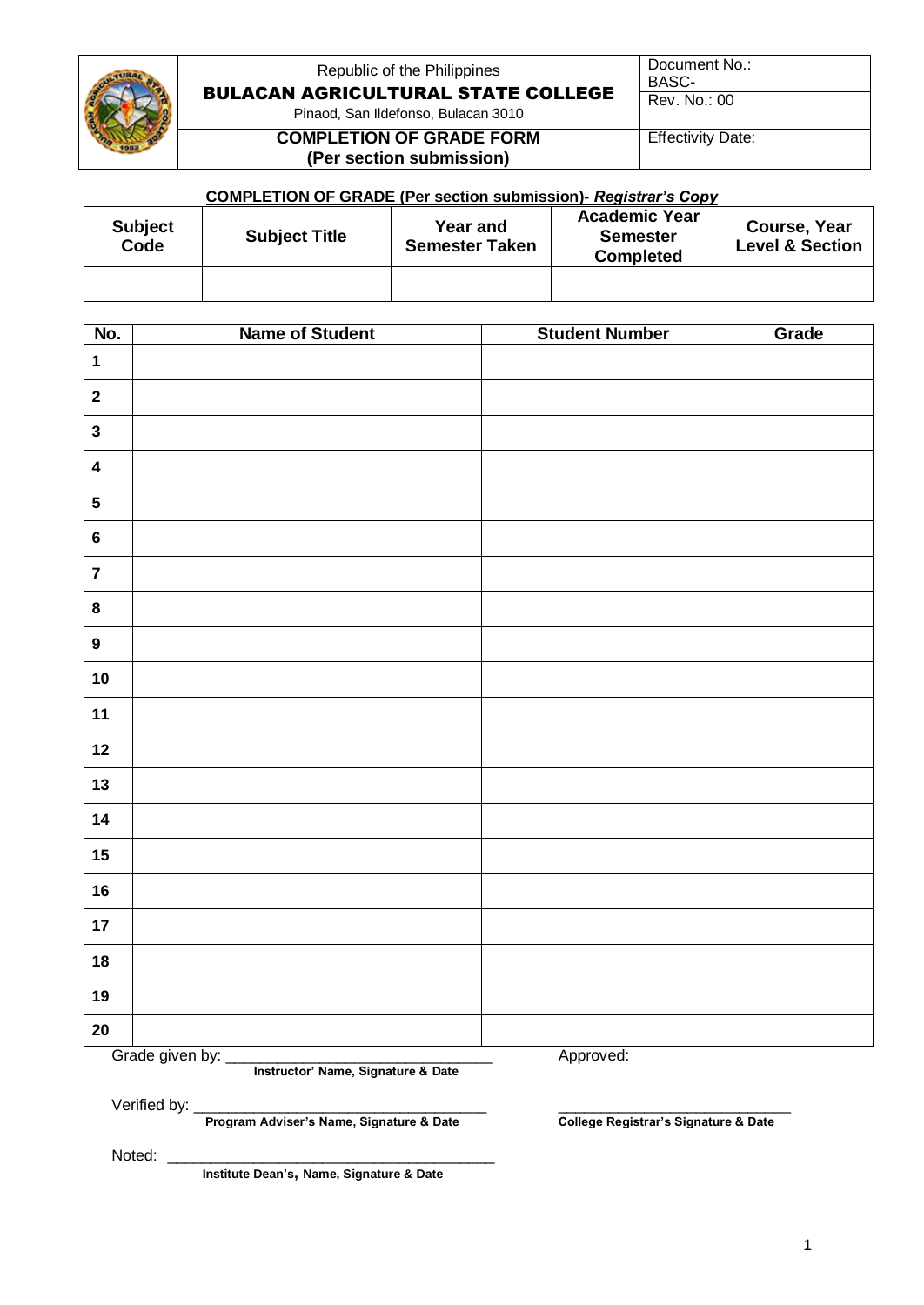

# Republic of the Philippines BULACAN AGRICULTURAL STATE COLLEGE

Document No.: BASC-

Rev. No.: 00

Pinaod, San Ildefonso, Bulacan 3010

#### **COMPLETION OF GRADE FORM (Per section submission)**

Effectivity Date:

### **COMPLETION OF GRADE (Per section submission)-** *Registrar's Copy*

| <b>Subject</b><br>Code | <b>Subject Title</b> | <b>Year and</b><br><b>Semester Taken</b> | <b>Academic Year</b><br><b>Semester</b><br><b>Completed</b> | Course, Year<br><b>Level &amp; Section</b> |
|------------------------|----------------------|------------------------------------------|-------------------------------------------------------------|--------------------------------------------|
|                        |                      |                                          |                                                             |                                            |

| No.                     | <b>Name of Student</b> | <b>Student Number</b> | Grade |
|-------------------------|------------------------|-----------------------|-------|
| $\mathbf 1$             |                        |                       |       |
| $\mathbf{2}$            |                        |                       |       |
| $\mathbf{3}$            |                        |                       |       |
| $\overline{\mathbf{4}}$ |                        |                       |       |
| $\sqrt{5}$              |                        |                       |       |
| $\bf 6$                 |                        |                       |       |
| $\boldsymbol{7}$        |                        |                       |       |
| $\bf 8$                 |                        |                       |       |
| $\boldsymbol{9}$        |                        |                       |       |
| $10$                    |                        |                       |       |
| $11$                    |                        |                       |       |
| $12$                    |                        |                       |       |
| 13                      |                        |                       |       |
| 14                      |                        |                       |       |
| $15\phantom{.0}$        |                        |                       |       |
| 16                      |                        |                       |       |
| 17                      |                        |                       |       |
| 18                      |                        |                       |       |
| 19                      |                        |                       |       |
| $20\,$                  |                        |                       |       |
|                         | Grade given by:        | Approved:             |       |

**Instructor' Name, Signature & Date**

 **Program Adviser's Name, Signature & Date** 

Verified by: \_\_\_\_\_\_\_\_\_\_\_\_\_\_\_\_\_\_\_\_\_\_\_\_\_\_\_\_\_\_\_\_\_\_ \_\_\_\_\_\_\_\_\_\_\_\_\_\_\_\_\_\_\_\_\_\_\_\_\_\_\_

Noted: \_

**Institute Dean's, Name, Signature & Date**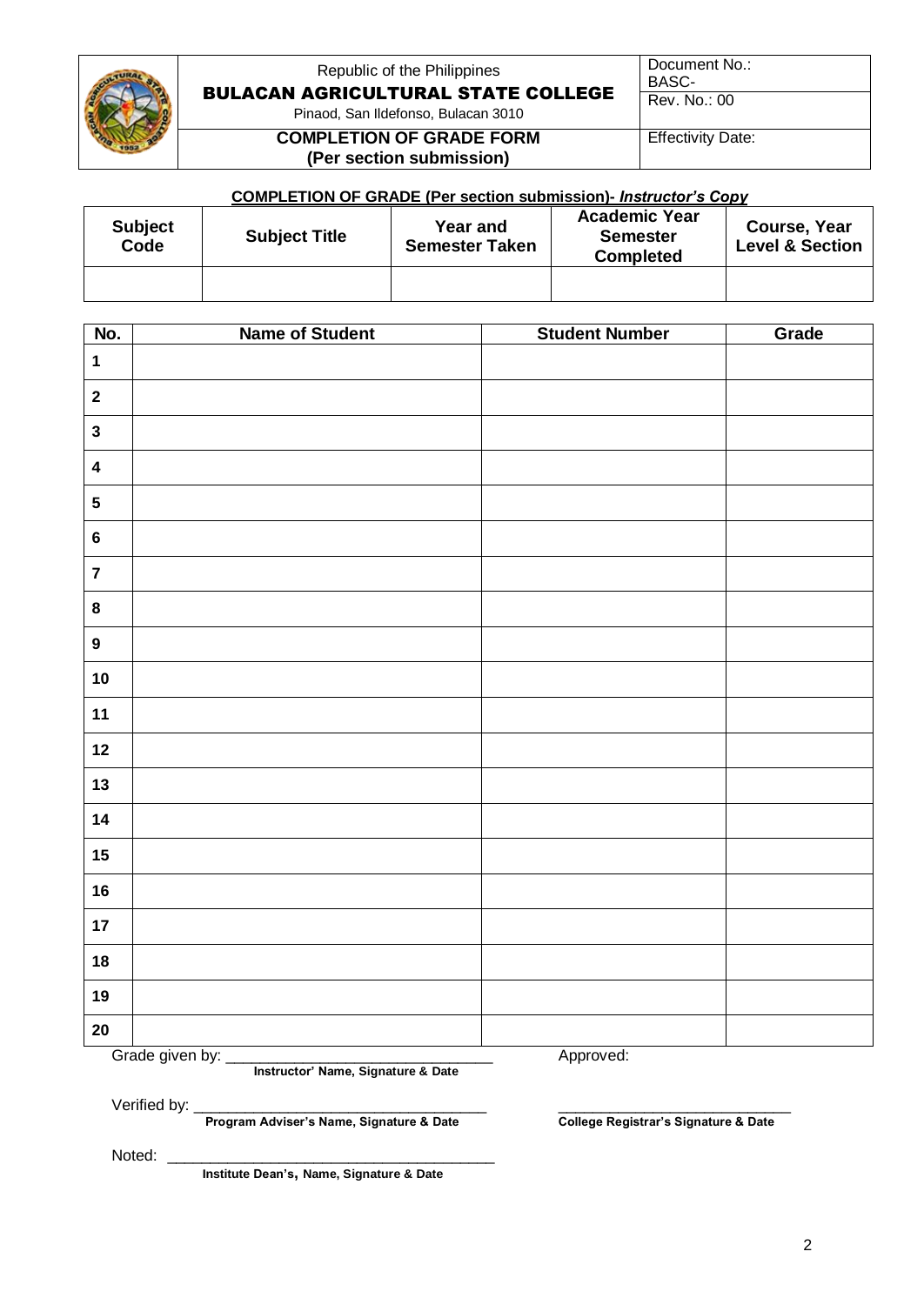

# Republic of the Philippines BULACAN AGRICULTURAL STATE COLLEGE

Document No.: BASC-

Rev. No.: 00

Pinaod, San Ildefonso, Bulacan 3010

#### **COMPLETION OF GRADE FORM (Per section submission)**

Effectivity Date:

### **COMPLETION OF GRADE (Per section submission)-** *Instructor's Copy*

| <b>Subject</b><br>Code | <b>Subject Title</b> | Year and<br><b>Semester Taken</b> | <b>Academic Year</b><br><b>Semester</b><br><b>Completed</b> | Course, Year<br><b>Level &amp; Section</b> |
|------------------------|----------------------|-----------------------------------|-------------------------------------------------------------|--------------------------------------------|
|                        |                      |                                   |                                                             |                                            |

| No.                     | <b>Name of Student</b>                                                                                                                                                 | <b>Student Number</b> | Grade |  |
|-------------------------|------------------------------------------------------------------------------------------------------------------------------------------------------------------------|-----------------------|-------|--|
| $\mathbf{1}$            |                                                                                                                                                                        |                       |       |  |
| $\mathbf{2}$            |                                                                                                                                                                        |                       |       |  |
| $\mathbf{3}$            |                                                                                                                                                                        |                       |       |  |
| $\overline{\mathbf{4}}$ |                                                                                                                                                                        |                       |       |  |
| ${\bf 5}$               |                                                                                                                                                                        |                       |       |  |
| $\bf 6$                 |                                                                                                                                                                        |                       |       |  |
| $\overline{7}$          |                                                                                                                                                                        |                       |       |  |
| $\pmb{8}$               |                                                                                                                                                                        |                       |       |  |
| $\boldsymbol{9}$        |                                                                                                                                                                        |                       |       |  |
| $10$                    |                                                                                                                                                                        |                       |       |  |
| 11                      |                                                                                                                                                                        |                       |       |  |
| 12                      |                                                                                                                                                                        |                       |       |  |
| 13                      |                                                                                                                                                                        |                       |       |  |
| 14                      |                                                                                                                                                                        |                       |       |  |
| 15                      |                                                                                                                                                                        |                       |       |  |
| 16                      |                                                                                                                                                                        |                       |       |  |
| 17                      |                                                                                                                                                                        |                       |       |  |
| 18                      |                                                                                                                                                                        |                       |       |  |
| 19                      |                                                                                                                                                                        |                       |       |  |
| $20\,$                  |                                                                                                                                                                        |                       |       |  |
|                         | Grade given by:<br>Approved:<br><u> Tanzania de la provincia de la provincia de la provincia de la provincia de la provincia de la provincia de l</u><br>$\sim$ $\sim$ |                       |       |  |

**Instructor' Name, Signature & Date**

 **Program Adviser's Name, Signature & Date** 

Verified by: <u>program Adviser's Name, Signature & Date</u> and College Registrar's Signature & Date

Noted: \_

**Institute Dean's, Name, Signature & Date**